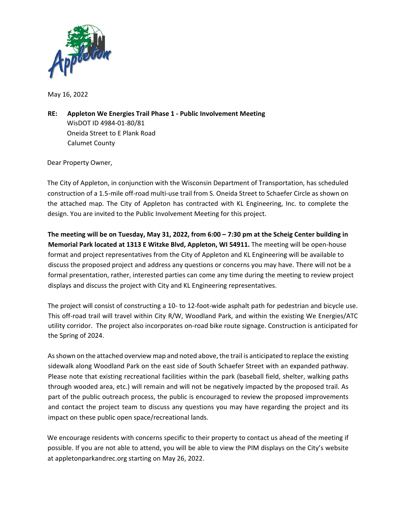

May 16, 2022

**RE: Appleton We Energies Trail Phase 1 ‐ Public Involvement Meeting**  WisDOT ID 4984‐01‐80/81 Oneida Street to E Plank Road Calumet County

Dear Property Owner,

The City of Appleton, in conjunction with the Wisconsin Department of Transportation, has scheduled construction of a 1.5‐mile off‐road multi‐use trail from S. Oneida Street to Schaefer Circle as shown on the attached map. The City of Appleton has contracted with KL Engineering, Inc. to complete the design. You are invited to the Public Involvement Meeting for this project.

**The meeting will be on Tuesday, May 31, 2022, from 6:00 – 7:30 pm at the Scheig Center building in Memorial Park located at 1313 E Witzke Blvd, Appleton, WI 54911.** The meeting will be open‐house format and project representatives from the City of Appleton and KL Engineering will be available to discuss the proposed project and address any questions or concerns you may have. There will not be a formal presentation, rather, interested parties can come any time during the meeting to review project displays and discuss the project with City and KL Engineering representatives.

The project will consist of constructing a 10‐ to 12‐foot‐wide asphalt path for pedestrian and bicycle use. This off-road trail will travel within City R/W, Woodland Park, and within the existing We Energies/ATC utility corridor. The project also incorporates on‐road bike route signage. Construction is anticipated for the Spring of 2024.

As shown on the attached overview map and noted above, the trail is anticipated to replace the existing sidewalk along Woodland Park on the east side of South Schaefer Street with an expanded pathway. Please note that existing recreational facilities within the park (baseball field, shelter, walking paths through wooded area, etc.) will remain and will not be negatively impacted by the proposed trail. As part of the public outreach process, the public is encouraged to review the proposed improvements and contact the project team to discuss any questions you may have regarding the project and its impact on these public open space/recreational lands.

We encourage residents with concerns specific to their property to contact us ahead of the meeting if possible. If you are not able to attend, you will be able to view the PIM displays on the City's website at appletonparkandrec.org starting on May 26, 2022.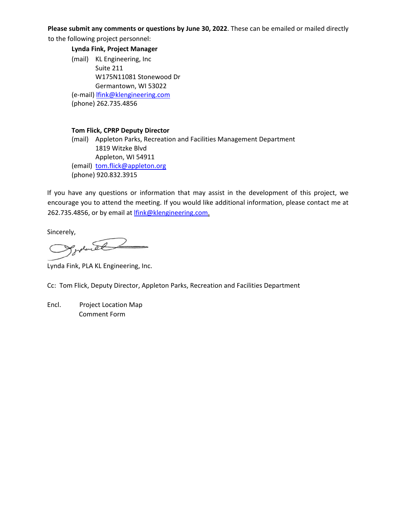### **Please submit any comments or questions by June 30, 2022**. These can be emailed or mailed directly

to the following project personnel:

 **Lynda Fink, Project Manager** 

(mail) KL Engineering, Inc Suite 211 W175N11081 Stonewood Dr Germantown, WI 53022 (e‐mail) lfink@klengineering.com (phone) 262.735.4856

### **Tom Flick, CPRP Deputy Director**

(mail) Appleton Parks, Recreation and Facilities Management Department 1819 Witzke Blvd Appleton, WI 54911 (email) tom.flick@appleton.org (phone) 920.832.3915

If you have any questions or information that may assist in the development of this project, we encourage you to attend the meeting. If you would like additional information, please contact me at 262.735.4856, or by email at lfink@klengineering.com.

Sincerely,

Lynda Fink, PLA KL Engineering, Inc.

Cc: Tom Flick, Deputy Director, Appleton Parks, Recreation and Facilities Department

Encl. Project Location Map Comment Form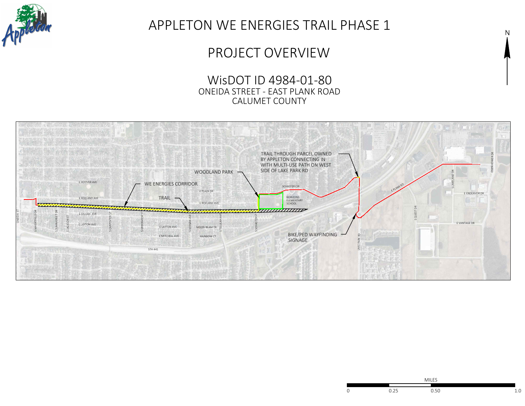

# APPLETON WE ENERGIES TRAIL PHASE 1

## PROJECT OVERVIEW

WisDOT ID 4984-01-80 ONEIDA STREET - EAST PLANK ROAD CALUMET COUNTY





N